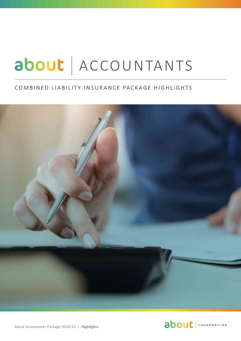# about | ACCOUNTANTS

### COMBINED LIABILITY INSURANCE PACKAGE HIGHLIGHTS



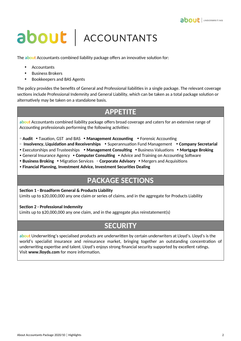

## about ACCOUNTANTS

The **about** Accountants combined liability package offers an innovative solution for:

- Accountants
- Business Brokers
- Bookkeepers and BAS Agents

The policy provides the benefits of General and Professional liabilities in a single package. The relevant coverage sections include Professional Indemnity and General Liability, which can be taken as a total package solution or alternatively may be taken on a standalone basis.

## **APPETITE**

**about** Accountants combined liability package offers broad coverage and caters for an extensive range of Accounting professionals performing the following activities:

- **Audit** Taxation, GST and BAS **Management Accounting** Forensic Accounting
- • **Insolvency, Liquidation and Receiverships**  Superannuation Fund Management **Company Secretarial**
- Executorships and Trusteeships **Management Consulting** Business Valuations **Mortgage Broking**
- General Insurance Agency **Computer Consulting** Advice and Training on Accounting Software
- **Business Broking** Migration Services **Corporate Advisory**  Mergers and Acquisitions
- **Financial Planning, Investment Advice, Investment Securities Dealing**

## **PACKAGE SECTIONS**

#### **Section 1 - Broadform General & Products Liability**

Limits up to \$20,000,000 any one claim or series of claims, and in the aggregate for Products Liability

#### **Section 2 - Professional Indemnity**

Limits up to \$20,000,000 any one claim, and in the aggregate plus reinstatement(s)

### **SECURITY**

**about** Underwriting's specialised products are underwritten by certain underwriters at Lloyd's. Lloyd's is the world's specialist insurance and reinsurance market, bringing together an outstanding concentration of underwriting expertise and talent. Lloyd's enjoys strong financial security supported by excellent ratings. Visit **www.lloyds.com** for more information.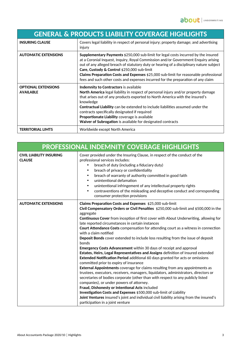| <b>GENERAL &amp; PRODUCTS LIABILITY COVERAGE HIGHLIGHTS</b> |                                                                                                                                                                                                                                                                                                                                                                                                                                                                                                |
|-------------------------------------------------------------|------------------------------------------------------------------------------------------------------------------------------------------------------------------------------------------------------------------------------------------------------------------------------------------------------------------------------------------------------------------------------------------------------------------------------------------------------------------------------------------------|
| <b>INSURING CLAUSE</b>                                      | Covers legal liability in respect of personal injury; property damage; and advertising<br>injury                                                                                                                                                                                                                                                                                                                                                                                               |
| <b>AUTOMATIC EXTENSIONS</b>                                 | Supplementary Payments \$250,000 sub-limit for legal costs incurred by the insured<br>at a Coronial Inquest, Inquiry, Royal Commission and/or Government Enquiry arising<br>out of any alleged breach of statutory duty or hearing of a disciplinary nature subject<br>Care, Custody & Control \$250,000 sub-limit<br>Claims Preparation Costs and Expenses \$25,000 sub-limit for reasonable professional<br>fees and such other costs and expenses incurred for the preparation of any claim |
| <b>OPTIONAL EXTENSIONS</b><br><b>AVAILABLE</b>              | Indemnity to Contractors is available<br>North America legal liability in respect of personal injury and/or property damage<br>that arises out of any products exported to North America with the insured's<br>knowledge<br>Contractual Liability can be extended to include liabilities assumed under the<br>contracts specifically designated if required<br>Proportionate Liability coverage is available<br>Waiver of Subrogation is available for designated contracts                    |
| <b>TERRITORIAL LIMTS</b>                                    | Worldwide except North America                                                                                                                                                                                                                                                                                                                                                                                                                                                                 |

| <b>PROFESSIONAL INDEMNITY COVERAGE HIGHLIGHTS</b> |                                                                                                                                                                                                                                                                                                                                                                                                                                                                                                                                                                                                                                                                                                                                                                                                                                                                                                                                                                                                                                                                                                                                                                                                                                                                                                                                                                                        |  |
|---------------------------------------------------|----------------------------------------------------------------------------------------------------------------------------------------------------------------------------------------------------------------------------------------------------------------------------------------------------------------------------------------------------------------------------------------------------------------------------------------------------------------------------------------------------------------------------------------------------------------------------------------------------------------------------------------------------------------------------------------------------------------------------------------------------------------------------------------------------------------------------------------------------------------------------------------------------------------------------------------------------------------------------------------------------------------------------------------------------------------------------------------------------------------------------------------------------------------------------------------------------------------------------------------------------------------------------------------------------------------------------------------------------------------------------------------|--|
| <b>CIVIL LIABILITY INSURING</b><br><b>CLAUSE</b>  | Cover provided under the Insuring Clause, in respect of the conduct of the<br>professional services includes:<br>breach of duty (including a fiduciary duty)<br>breach of privacy or confidentiality<br>٠<br>breach of warranty of authority committed in good faith<br>$\bullet$<br>unintentional defamation<br>$\bullet$<br>unintentional infringement of any intellectual property rights<br>$\bullet$<br>contraventions of the misleading and deceptive conduct and corresponding<br>$\bullet$<br>consumer protection provisions                                                                                                                                                                                                                                                                                                                                                                                                                                                                                                                                                                                                                                                                                                                                                                                                                                                   |  |
| <b>AUTOMATIC EXTENSIONS</b>                       | Claims Preparation Costs and Expenses \$25,000 sub-limit<br>Civil Compensatory Orders or Civil Penalties \$250,000 sub-limit and \$500,000 in the<br>aggregate<br>Continuous Cover from inception of first cover with About Underwriting, allowing for<br>late reported circumstances in certain instances<br>Court Attendance Costs compensation for attending court as a witness in connection<br>with a claim notified<br>Deposit Bonds cover extended to include loss resulting from the issue of deposit<br>bonds<br>Emergency Costs Advancement within 30 days of receipt and approval<br>Estates, Heirs, Legal Representatives and Assigns definition of Insured extended<br><b>Extended Notification Period</b> additional 60 days granted for acts or omissions<br>committed prior to expiry of insurance<br><b>External Appointments</b> coverage for claims resulting from any appointments as<br>trustees, executors, receivers, managers, liquidators, administrators, directors or<br>secretaries of bodies corporate (other than with respect to any publicly listed<br>companies), or under powers of attorney.<br>Fraud, Dishonesty or Intentional Acts included<br>Investigation Costs and Expenses \$500,000 sub-limit of Liability<br>Joint Ventures insured's joint and individual civil liability arising from the insured's<br>participation in a joint venture |  |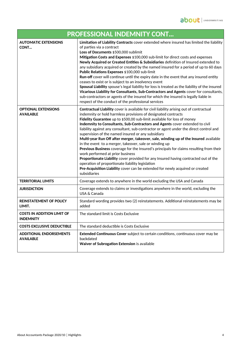| <b>PROFESSIONAL INDEMNITY CONT</b>                    |                                                                                                                                                                                                                                                                                                                                                                                                                                                                                                                                                                                                                                                                                                                                                                                                                                                                                                                                                                                                  |
|-------------------------------------------------------|--------------------------------------------------------------------------------------------------------------------------------------------------------------------------------------------------------------------------------------------------------------------------------------------------------------------------------------------------------------------------------------------------------------------------------------------------------------------------------------------------------------------------------------------------------------------------------------------------------------------------------------------------------------------------------------------------------------------------------------------------------------------------------------------------------------------------------------------------------------------------------------------------------------------------------------------------------------------------------------------------|
| <b>AUTOMATIC EXTENSIONS</b><br>CONT                   | Limitation of Liability Contracts cover extended where insured has limited the liability<br>of parties via a contract<br>Loss of Documents \$500,000 sublimit<br>Mitigation Costs and Expenses \$100,000 sub-limit for direct costs and expenses<br>Newly Acquired or Created Entities & Subsidiaries definition of Insured extended to<br>any subsidiary acquired or created by the named insured for a period of up to 60 days<br>Public Relations Expenses \$100,000 sub-limit<br>Run-off cover will continue until the expiry date in the event that any insured entity<br>ceases to exist or is subject to an insolvency event<br>Spousal Liability spouse's legal liability for loss is treated as the liability of the insured<br>Vicarious Liability for Consultants, Sub-Contractors and Agents cover for consultants,<br>sub-contractors or agents of the insured for which the insured is legally liable in<br>respect of the conduct of the professional services                    |
| <b>OPTIONAL EXTENSIONS</b><br><b>AVAILABLE</b>        | Contractual Liability cover is available for civil liability arising out of contractual<br>indemnity or hold harmless provisions of designated contracts<br>Fidelity Guarantee up to \$500,00 sub-limit available for loss of money<br>Indemnity to Consultants, Sub-Contractors and Agents cover extended to civil<br>liability against any consultant, sub-contractor or agent under the direct control and<br>supervision of the named insured or any subsidiary<br>Multi-year Run Off after merger, takeover, sale, winding up of the Insured available<br>in the event to a merger, takeover, sale or winding up<br>Previous Business coverage for the Insured's principals for claims resulting from their<br>work performed at prior business<br>Proportionate Liability cover provided for any Insured having contracted out of the<br>operation of proportionate liability legislation<br>Pre-Acquisition Liability cover can be extended for newly acquired or created<br>subsidiaries |
| <b>TERRITORIAL LIMITS</b>                             | Coverage extends to anywhere in the world excluding the USA and Canada                                                                                                                                                                                                                                                                                                                                                                                                                                                                                                                                                                                                                                                                                                                                                                                                                                                                                                                           |
| <b>JURISDICTION</b>                                   | Coverage extends to claims or investigations anywhere in the world, excluding the<br>USA & Canada                                                                                                                                                                                                                                                                                                                                                                                                                                                                                                                                                                                                                                                                                                                                                                                                                                                                                                |
| <b>REINSTATEMENT OF POLICY</b><br>LIMIT.              | Standard wording provides two (2) reinstatements. Additional reinstatements may be<br>added                                                                                                                                                                                                                                                                                                                                                                                                                                                                                                                                                                                                                                                                                                                                                                                                                                                                                                      |
| <b>COSTS IN ADDITION LIMIT OF</b><br><b>INDEMNITY</b> | The standard limit is Costs Exclusive                                                                                                                                                                                                                                                                                                                                                                                                                                                                                                                                                                                                                                                                                                                                                                                                                                                                                                                                                            |
| <b>COSTS EXCLUSIVE DEDUCTIBLE</b>                     | The standard deductible is Costs Exclusive                                                                                                                                                                                                                                                                                                                                                                                                                                                                                                                                                                                                                                                                                                                                                                                                                                                                                                                                                       |
| <b>ADDITIONAL ENDORSEMENTS</b><br><b>AVAILABLE</b>    | Extended Continuous Cover subject to certain conditions, continuous cover may be<br>backdated<br>Waiver of Subrogation Extension is available                                                                                                                                                                                                                                                                                                                                                                                                                                                                                                                                                                                                                                                                                                                                                                                                                                                    |